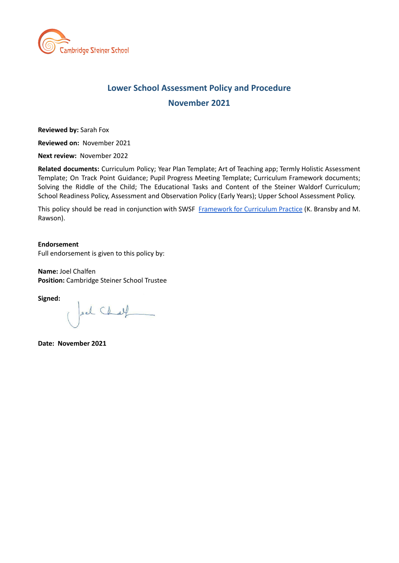

## **Lower School Assessment Policy and Procedure November 2021**

**Reviewed by:** Sarah Fox

**Reviewed on:** November 2021

**Next review:** November 2022

**Related documents:** Curriculum Policy; Year Plan Template; Art of Teaching app; Termly Holistic Assessment Template; On Track Point Guidance; Pupil Progress Meeting Template; Curriculum Framework documents; Solving the Riddle of the Child; The Educational Tasks and Content of the Steiner Waldorf Curriculum; School Readiness Policy, Assessment and Observation Policy (Early Years); Upper School Assessment Policy.

This policy should be read in conjunction with SWSF [Framework](https://www.steinerwaldorf.org/wp-content/uploads/2021/02/1.Waldorf-Education-for-the-Future-A-Framework-for-Curriculum-Practice.pdf) for Curriculum Practice (K. Bransby and M. Rawson).

#### **Endorsement**

Full endorsement is given to this policy by:

**Name:** Joel Chalfen **Position:** Cambridge Steiner School Trustee

**Signed:**

pel Chat

**Date: November 2021**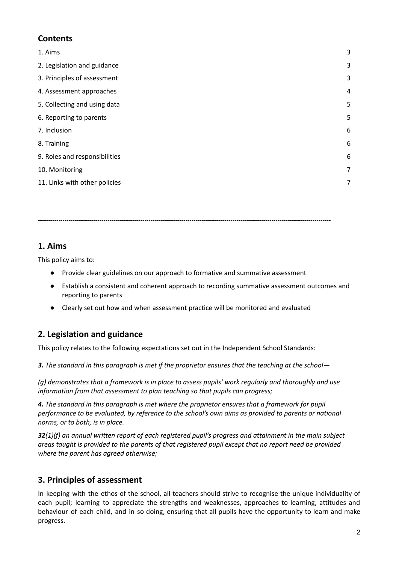## **Contents**

| 1. Aims                       | 3 |
|-------------------------------|---|
| 2. Legislation and guidance   | 3 |
| 3. Principles of assessment   | 3 |
| 4. Assessment approaches      | 4 |
| 5. Collecting and using data  | 5 |
| 6. Reporting to parents       | 5 |
| 7. Inclusion                  | 6 |
| 8. Training                   | 6 |
| 9. Roles and responsibilities | 6 |
| 10. Monitoring                | 7 |
| 11. Links with other policies | 7 |

### **1. Aims**

This policy aims to:

● Provide clear guidelines on our approach to formative and summative assessment

<span id="page-1-0"></span>-----------------------------------------------------------------------------------------------------------------------------------------------

- Establish a consistent and coherent approach to recording summative assessment outcomes and reporting to parents
- Clearly set out how and when assessment practice will be monitored and evaluated

## <span id="page-1-1"></span>**2. Legislation and guidance**

This policy relates to the following expectations set out in the Independent School Standards:

3. The standard in this paragraph is met if the proprietor ensures that the teaching at the school-

*(g) demonstrates that a framework is in place to assess pupils' work regularly and thoroughly and use information from that assessment to plan teaching so that pupils can progress;*

*4. The standard in this paragraph is met where the proprietor ensures that a framework for pupil performance to be evaluated, by reference to the school's own aims as provided to parents or national norms, or to both, is in place.*

*32(1)(f) an annual written report of each registered pupil's progress and attainment in the main subject* areas taught is provided to the parents of that registered pupil except that no report need be provided *where the parent has agreed otherwise;*

## <span id="page-1-2"></span>**3. Principles of assessment**

In keeping with the ethos of the school, all teachers should strive to recognise the unique individuality of each pupil; learning to appreciate the strengths and weaknesses, approaches to learning, attitudes and behaviour of each child, and in so doing, ensuring that all pupils have the opportunity to learn and make progress.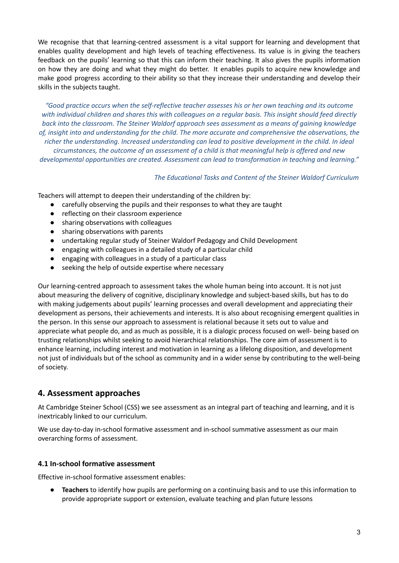We recognise that that learning-centred assessment is a vital support for learning and development that enables quality development and high levels of teaching effectiveness. Its value is in giving the teachers feedback on the pupils' learning so that this can inform their teaching. It also gives the pupils information on how they are doing and what they might do better. It enables pupils to acquire new knowledge and make good progress according to their ability so that they increase their understanding and develop their skills in the subjects taught.

*"Good practice occurs when the self-reflective teacher assesses his or her own teaching and its outcome* with individual children and shares this with colleagues on a regular basis. This insight should feed directly *back into the classroom. The Steiner Waldorf approach sees assessment as a means of gaining knowledge of, insight into and understanding for the child. The more accurate and comprehensive the observations, the richer the understanding. Increased understanding can lead to positive development in the child. In ideal circumstances, the outcome of an assessment of a child is that meaningful help is offered and new developmental opportunities are created. Assessment can lead to transformation in teaching and learning."*

*The Educational Tasks and Content of the Steiner Waldorf Curriculum*

Teachers will attempt to deepen their understanding of the children by:

- carefully observing the pupils and their responses to what they are taught
- reflecting on their classroom experience
- sharing observations with colleagues
- sharing observations with parents
- undertaking regular study of Steiner Waldorf Pedagogy and Child Development
- engaging with colleagues in a detailed study of a particular child
- engaging with colleagues in a study of a particular class
- seeking the help of outside expertise where necessary

Our learning-centred approach to assessment takes the whole human being into account. It is not just about measuring the delivery of cognitive, disciplinary knowledge and subject-based skills, but has to do with making judgements about pupils' learning processes and overall development and appreciating their development as persons, their achievements and interests. It is also about recognising emergent qualities in the person. In this sense our approach to assessment is relational because it sets out to value and appreciate what people do, and as much as possible, it is a dialogic process focused on well- being based on trusting relationships whilst seeking to avoid hierarchical relationships. The core aim of assessment is to enhance learning, including interest and motivation in learning as a lifelong disposition, and development not just of individuals but of the school as community and in a wider sense by contributing to the well-being of society.

## <span id="page-2-0"></span>**4. Assessment approaches**

At Cambridge Steiner School (CSS) we see assessment as an integral part of teaching and learning, and it is inextricably linked to our curriculum.

We use day-to-day in-school formative assessment and in-school summative assessment as our main overarching forms of assessment.

#### **4.1 In-school formative assessment**

Effective in-school formative assessment enables:

**Teachers** to identify how pupils are performing on a continuing basis and to use this information to provide appropriate support or extension, evaluate teaching and plan future lessons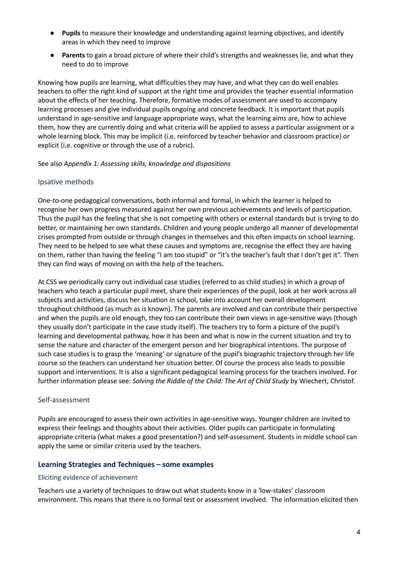- **Pupils** to measure their knowledge and understanding against learning objectives, and identify areas in which they need to improve
- **Parents** to gain a broad picture of where their child's strengths and weaknesses lie, and what they need to do to improve

Knowing how pupils are learning, what difficulties they may have, and what they can do well enables teachers to offer the right kind of support at the right time and provides the teacher essential information about the effects of her teaching. Therefore, formative modes of assessment are used to accompany learning processes and give individual pupils ongoing and concrete feedback. It is important that pupils understand in age-sensitive and language appropriate ways, what the learning aims are, how to achieve them, how they are currently doing and what criteria will be applied to assess a particular assignment or a whole learning block. This may be implicit (i.e. reinforced by teacher behavior and classroom practice) or explicit (i.e. cognitive or through the use of a rubric).

#### See also *Appendix 1: Assessing skills, knowledge and dispositions*

#### Ipsative methods

One-to-one pedagogical conversations, both informal and formal, in which the learner is helped to recognise her own progress measured against her own previous achievements and levels of participation. Thus the pupil has the feeling that she is not competing with others or external standards but is trying to do better, or maintaining her own standards. Children and young people undergo all manner of developmental crises prompted from outside or through changes in themselves and this often impacts on school learning. They need to be helped to see what these causes and symptoms are, recognise the effect they are having on them, rather than having the feeling "I am too stupid" or "it's the teacher's fault that I don't get it". Then they can find ways of moving on with the help of the teachers.

At CSS we periodically carry out individual case studies (referred to as child studies) in which a group of teachers who teach a particular pupil meet, share their experiences of the pupil, look at her work across all subjects and activities, discuss her situation in school, take into account her overall development throughout childhood (as much as is known). The parents are involved and can contribute their perspective and when the pupils are old enough, they too can contribute their own views in age-sensitive ways (though they usually don't participate in the case study itself). The teachers try to form a picture of the pupil's learning and developmental pathway, how it has been and what is now in the current situation and try to sense the nature and character of the emergent person and her biographical intentions. The purpose of such case studies is to grasp the 'meaning' or signature of the pupil's biographic trajectory through her life course so the teachers can understand her situation better. Of course the process also leads to possible support and interventions. It is also a significant pedagogical learning process for the teachers involved. For further information please see: *Solving the Riddle of the Child: The Art of Child Study* by Wiechert, Christof.

#### Self-assessment

Pupils are encouraged to assess their own activities in age-sensitive ways. Younger children are invited to express their feelings and thoughts about their activities. Older pupils can participate in formulating appropriate criteria (what makes a good presentation?) and self-assessment. Students in middle school can apply the same or similar criteria used by the teachers.

#### **Learning Strategies and Techniques – some examples**

#### Eliciting evidence of achievement

Teachers use a variety of techniques to draw out what students know in a 'low-stakes' classroom environment. This means that there is no formal test or assessment involved. The information elicited then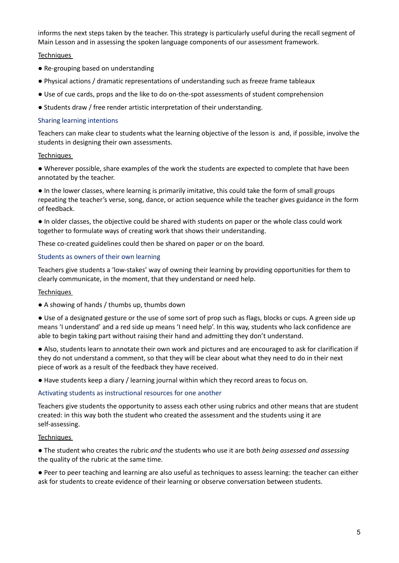informs the next steps taken by the teacher. This strategy is particularly useful during the recall segment of Main Lesson and in assessing the spoken language components of our assessment framework.

#### **Techniques**

- Re-grouping based on understanding
- Physical actions / dramatic representations of understanding such as freeze frame tableaux
- Use of cue cards, props and the like to do on-the-spot assessments of student comprehension
- Students draw / free render artistic interpretation of their understanding.

#### Sharing learning intentions

Teachers can make clear to students what the learning objective of the lesson is and, if possible, involve the students in designing their own assessments.

#### **Techniques**

● Wherever possible, share examples of the work the students are expected to complete that have been annotated by the teacher.

● In the lower classes, where learning is primarily imitative, this could take the form of small groups repeating the teacher's verse, song, dance, or action sequence while the teacher gives guidance in the form of feedback.

● In older classes, the objective could be shared with students on paper or the whole class could work together to formulate ways of creating work that shows their understanding.

These co-created guidelines could then be shared on paper or on the board.

#### Students as owners of their own learning

Teachers give students a 'low-stakes' way of owning their learning by providing opportunities for them to clearly communicate, in the moment, that they understand or need help.

#### **Techniques**

● A showing of hands / thumbs up, thumbs down

● Use of a designated gesture or the use of some sort of prop such as flags, blocks or cups. A green side up means 'I understand' and a red side up means 'I need help'. In this way, students who lack confidence are able to begin taking part without raising their hand and admitting they don't understand.

● Also, students learn to annotate their own work and pictures and are encouraged to ask for clarification if they do not understand a comment, so that they will be clear about what they need to do in their next piece of work as a result of the feedback they have received.

● Have students keep a diary / learning journal within which they record areas to focus on.

#### Activating students as instructional resources for one another

Teachers give students the opportunity to assess each other using rubrics and other means that are student created: in this way both the student who created the assessment and the students using it are self-assessing.

#### **Techniques**

● The student who creates the rubric *and* the students who use it are both *being assessed and assessing* the quality of the rubric at the same time.

● Peer to peer teaching and learning are also useful as techniques to assess learning: the teacher can either ask for students to create evidence of their learning or observe conversation between students.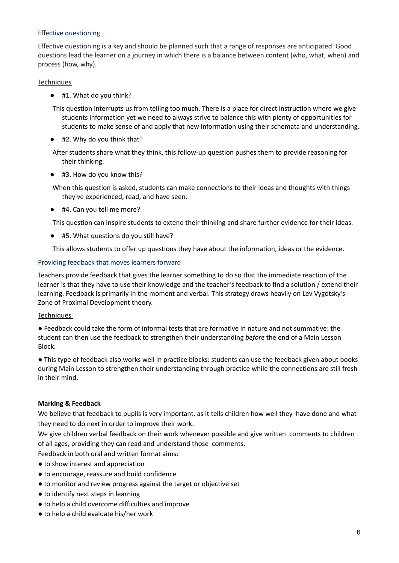#### Effective questioning

Effective questioning is a key and should be planned such that a range of responses are anticipated. Good questions lead the learner on a journey in which there is a balance between content (who, what, when) and process (how, why).

#### **Techniques**

● #1. What do you think?

This question interrupts us from telling too much. There is a place for direct instruction where we give students information yet we need to always strive to balance this with plenty of opportunities for students to make sense of and apply that new information using their schemata and understanding.

● #2. Why do you think that?

After students share what they think, this follow-up question pushes them to provide reasoning for their thinking.

● #3. How do you know this?

When this question is asked, students can make connections to their ideas and thoughts with things they've experienced, read, and have seen.

● #4. Can you tell me more?

This question can inspire students to extend their thinking and share further evidence for their ideas.

● #5. What questions do you still have?

This allows students to offer up questions they have about the information, ideas or the evidence.

#### Providing feedback that moves learners forward

Teachers provide feedback that gives the learner something to do so that the immediate reaction of the learner is that they have to use their knowledge and the teacher's feedback to find a solution / extend their learning. Feedback is primarily in the moment and verbal. This strategy draws heavily on Lev Vygotsky's Zone of Proximal Development theory.

#### **Techniques**

● Feedback could take the form of informal tests that are formative in nature and not summative: the student can then use the feedback to strengthen their understanding *before* the end of a Main Lesson Block.

● This type of feedback also works well in practice blocks: students can use the feedback given about books during Main Lesson to strengthen their understanding through practice while the connections are still fresh in their mind.

#### **Marking & Feedback**

We believe that feedback to pupils is very important, as it tells children how well they have done and what they need to do next in order to improve their work.

We give children verbal feedback on their work whenever possible and give written comments to children of all ages, providing they can read and understand those comments.

Feedback in both oral and written format aims:

- to show interest and appreciation
- to encourage, reassure and build confidence
- to monitor and review progress against the target or objective set
- to identify next steps in learning
- to help a child overcome difficulties and improve
- to help a child evaluate his/her work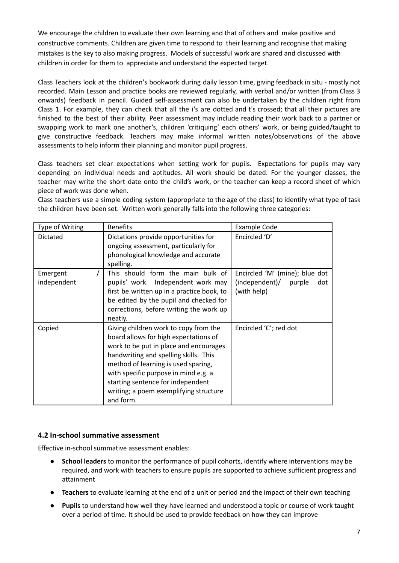We encourage the children to evaluate their own learning and that of others and make positive and constructive comments. Children are given time to respond to their learning and recognise that making mistakes is the key to also making progress. Models of successful work are shared and discussed with children in order for them to appreciate and understand the expected target.

Class Teachers look at the children's bookwork during daily lesson time, giving feedback in situ - mostly not recorded. Main Lesson and practice books are reviewed regularly, with verbal and/or written (from Class 3 onwards) feedback in pencil. Guided self-assessment can also be undertaken by the children right from Class 1. For example, they can check that all the i's are dotted and t's crossed; that all their pictures are finished to the best of their ability. Peer assessment may include reading their work back to a partner or swapping work to mark one another's, children 'critiquing' each others' work, or being guided/taught to give constructive feedback. Teachers may make informal written notes/observations of the above assessments to help inform their planning and monitor pupil progress.

Class teachers set clear expectations when setting work for pupils. Expectations for pupils may vary depending on individual needs and aptitudes. All work should be dated. For the younger classes, the teacher may write the short date onto the child's work, or the teacher can keep a record sheet of which piece of work was done when.

Class teachers use a simple coding system (appropriate to the age of the class) to identify what type of task the children have been set. Written work generally falls into the following three categories:

| Type of Writing         | <b>Benefits</b>                                                                                                                                                                                                                                                                                                                              | <b>Example Code</b>                                                              |
|-------------------------|----------------------------------------------------------------------------------------------------------------------------------------------------------------------------------------------------------------------------------------------------------------------------------------------------------------------------------------------|----------------------------------------------------------------------------------|
| Dictated                | Dictations provide opportunities for<br>ongoing assessment, particularly for<br>phonological knowledge and accurate<br>spelling.                                                                                                                                                                                                             | Encircled 'D'                                                                    |
| Emergent<br>independent | This should form the main bulk of<br>pupils' work. Independent work may<br>first be written up in a practice book, to<br>be edited by the pupil and checked for<br>corrections, before writing the work up<br>neatly.                                                                                                                        | Encircled 'M' (mine); blue dot<br>(independent)/<br>purple<br>dot<br>(with help) |
| Copied                  | Giving children work to copy from the<br>board allows for high expectations of<br>work to be put in place and encourages<br>handwriting and spelling skills. This<br>method of learning is used sparing,<br>with specific purpose in mind e.g. a<br>starting sentence for independent<br>writing; a poem exemplifying structure<br>and form. | Encircled 'C'; red dot                                                           |

#### **4.2 In-school summative assessment**

Effective in-school summative assessment enables:

- **● School leaders** to monitor the performance of pupil cohorts, identify where interventions may be required, and work with teachers to ensure pupils are supported to achieve sufficient progress and attainment
- **● Teachers** to evaluate learning at the end of a unit or period and the impact of their own teaching
- **● Pupils** to understand how well they have learned and understood a topic or course of work taught over a period of time. It should be used to provide feedback on how they can improve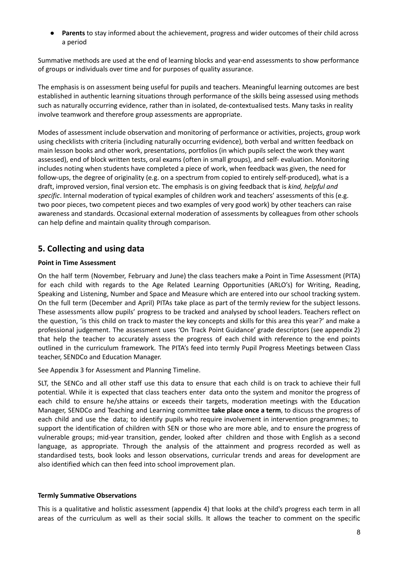● **Parents** to stay informed about the achievement, progress and wider outcomes of their child across a period

Summative methods are used at the end of learning blocks and year-end assessments to show performance of groups or individuals over time and for purposes of quality assurance.

The emphasis is on assessment being useful for pupils and teachers. Meaningful learning outcomes are best established in authentic learning situations through performance of the skills being assessed using methods such as naturally occurring evidence, rather than in isolated, de-contextualised tests. Many tasks in reality involve teamwork and therefore group assessments are appropriate.

Modes of assessment include observation and monitoring of performance or activities, projects, group work using checklists with criteria (including naturally occurring evidence), both verbal and written feedback on main lesson books and other work, presentations, portfolios (in which pupils select the work they want assessed), end of block written tests, oral exams (often in small groups), and self- evaluation. Monitoring includes noting when students have completed a piece of work, when feedback was given, the need for follow-ups, the degree of originality (e.g. on a spectrum from copied to entirely self-produced), what is a draft, improved version, final version etc. The emphasis is on giving feedback that is *kind, helpful and specific*. Internal moderation of typical examples of children work and teachers' assessments of this (e.g. two poor pieces, two competent pieces and two examples of very good work) by other teachers can raise awareness and standards. Occasional external moderation of assessments by colleagues from other schools can help define and maintain quality through comparison.

## <span id="page-7-0"></span>**5. Collecting and using data**

#### **Point in Time Assessment**

On the half term (November, February and June) the class teachers make a Point in Time Assessment (PITA) for each child with regards to the Age Related Learning Opportunities (ARLO's) for Writing, Reading, Speaking and Listening, Number and Space and Measure which are entered into our school tracking system. On the full term (December and April) PITAs take place as part of the termly review for the subject lessons. These assessments allow pupils' progress to be tracked and analysed by school leaders. Teachers reflect on the question, 'is this child on track to master the key concepts and skills for this area this year?' and make a professional judgement. The assessment uses 'On Track Point Guidance' grade descriptors (see appendix 2) that help the teacher to accurately assess the progress of each child with reference to the end points outlined in the curriculum framework. The PITA's feed into termly Pupil Progress Meetings between Class teacher, SENDCo and Education Manager.

See Appendix 3 for Assessment and Planning Timeline.

SLT, the SENCo and all other staff use this data to ensure that each child is on track to achieve their full potential. While it is expected that class teachers enter data onto the system and monitor the progress of each child to ensure he/she attains or exceeds their targets, moderation meetings with the Education Manager, SENDCo and Teaching and Learning committee **take place once a term**, to discuss the progress of each child and use the data; to identify pupils who require involvement in intervention programmes; to support the identification of children with SEN or those who are more able, and to ensure the progress of vulnerable groups; mid-year transition, gender, looked after children and those with English as a second language, as appropriate. Through the analysis of the attainment and progress recorded as well as standardised tests, book looks and lesson observations, curricular trends and areas for development are also identified which can then feed into school improvement plan.

#### **Termly Summative Observations**

This is a qualitative and holistic assessment (appendix 4) that looks at the child's progress each term in all areas of the curriculum as well as their social skills. It allows the teacher to comment on the specific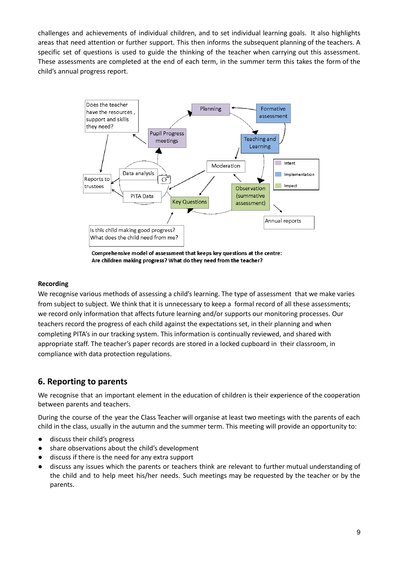challenges and achievements of individual children, and to set individual learning goals. It also highlights areas that need attention or further support. This then informs the subsequent planning of the teachers. A specific set of questions is used to guide the thinking of the teacher when carrying out this assessment. These assessments are completed at the end of each term, in the summer term this takes the form of the child's annual progress report.



Comprehensive model of assessment that keeps key questions at the centre: Are children making progress? What do they need from the teacher?

#### **Recording**

We recognise various methods of assessing a child's learning. The type of assessment that we make varies from subject to subject. We think that it is unnecessary to keep a formal record of all these assessments; we record only information that affects future learning and/or supports our monitoring processes. Our teachers record the progress of each child against the expectations set, in their planning and when completing PITA's in our tracking system. This information is continually reviewed, and shared with appropriate staff. The teacher's paper records are stored in a locked cupboard in their classroom, in compliance with data protection regulations.

## <span id="page-8-0"></span>**6. Reporting to parents**

We recognise that an important element in the education of children is their experience of the cooperation between parents and teachers.

During the course of the year the Class Teacher will organise at least two meetings with the parents of each child in the class, usually in the autumn and the summer term. This meeting will provide an opportunity to:

- discuss their child's progress
- share observations about the child's development
- discuss if there is the need for any extra support
- discuss any issues which the parents or teachers think are relevant to further mutual understanding of the child and to help meet his/her needs. Such meetings may be requested by the teacher or by the parents.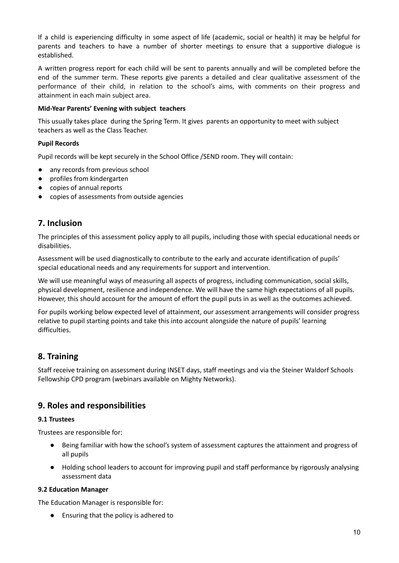If a child is experiencing difficulty in some aspect of life (academic, social or health) it may be helpful for parents and teachers to have a number of shorter meetings to ensure that a supportive dialogue is established.

A written progress report for each child will be sent to parents annually and will be completed before the end of the summer term. These reports give parents a detailed and clear qualitative assessment of the performance of their child, in relation to the school's aims, with comments on their progress and attainment in each main subject area.

#### **Mid-Year Parents' Evening with subject teachers**

This usually takes place during the Spring Term. It gives parents an opportunity to meet with subject teachers as well as the Class Teacher.

#### **Pupil Records**

Pupil records will be kept securely in the School Office /SEND room. They will contain:

- any records from previous school
- profiles from kindergarten
- copies of annual reports
- <span id="page-9-0"></span>● copies of assessments from outside agencies

## **7. Inclusion**

The principles of this assessment policy apply to all pupils, including those with special educational needs or disabilities.

Assessment will be used diagnostically to contribute to the early and accurate identification of pupils' special educational needs and any requirements for support and intervention.

We will use meaningful ways of measuring all aspects of progress, including communication, social skills, physical development, resilience and independence. We will have the same high expectations of all pupils. However, this should account for the amount of effort the pupil puts in as well as the outcomes achieved.

For pupils working below expected level of attainment, our assessment arrangements will consider progress relative to pupil starting points and take this into account alongside the nature of pupils' learning difficulties.

## <span id="page-9-1"></span>**8. Training**

Staff receive training on assessment during INSET days, staff meetings and via the Steiner Waldorf Schools Fellowship CPD program (webinars available on Mighty Networks).

## <span id="page-9-2"></span>**9. Roles and responsibilities**

#### **9.1 Trustees**

Trustees are responsible for:

- Being familiar with how the school's system of assessment captures the attainment and progress of all pupils
- Holding school leaders to account for improving pupil and staff performance by rigorously analysing assessment data

#### **9.2 Education Manager**

The Education Manager is responsible for:

**●** Ensuring that the policy is adhered to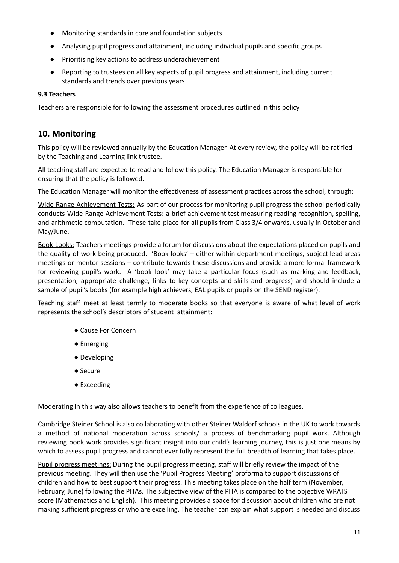- **●** Monitoring standards in core and foundation subjects
- **●** Analysing pupil progress and attainment, including individual pupils and specific groups
- **●** Prioritising key actions to address underachievement
- **●** Reporting to trustees on all key aspects of pupil progress and attainment, including current standards and trends over previous years

#### **9.3 Teachers**

<span id="page-10-0"></span>Teachers are responsible for following the assessment procedures outlined in this policy

## **10. Monitoring**

This policy will be reviewed annually by the Education Manager. At every review, the policy will be ratified by the Teaching and Learning link trustee.

All teaching staff are expected to read and follow this policy. The Education Manager is responsible for ensuring that the policy is followed.

The Education Manager will monitor the effectiveness of assessment practices across the school, through:

Wide Range Achievement Tests: As part of our process for monitoring pupil progress the school periodically conducts Wide Range Achievement Tests: a brief achievement test measuring reading recognition, spelling, and arithmetic computation. These take place for all pupils from Class 3/4 onwards, usually in October and May/June.

<span id="page-10-1"></span>Book Looks: Teachers meetings provide a forum for discussions about the expectations placed on pupils and the quality of work being produced. 'Book looks' – either within department meetings, subject lead areas meetings or mentor sessions – contribute towards these discussions and provide a more formal framework for reviewing pupil's work. A 'book look' may take a particular focus (such as marking and feedback, presentation, appropriate challenge, links to key concepts and skills and progress) and should include a sample of pupil's books (for example high achievers, EAL pupils or pupils on the SEND register).

Teaching staff meet at least termly to moderate books so that everyone is aware of what level of work represents the school's descriptors of student attainment:

- Cause For Concern
- Emerging
- Developing
- Secure
- Exceeding

Moderating in this way also allows teachers to benefit from the experience of colleagues.

Cambridge Steiner School is also collaborating with other Steiner Waldorf schools in the UK to work towards a method of national moderation across schools/ a process of benchmarking pupil work. Although reviewing book work provides significant insight into our child's learning journey, this is just one means by which to assess pupil progress and cannot ever fully represent the full breadth of learning that takes place.

Pupil progress meetings: During the pupil progress meeting, staff will briefly review the impact of the previous meeting. They will then use the 'Pupil Progress Meeting' proforma to support discussions of children and how to best support their progress. This meeting takes place on the half term (November, February, June) following the PITAs. The subjective view of the PITA is compared to the objective WRATS score (Mathematics and English). This meeting provides a space for discussion about children who are not making sufficient progress or who are excelling. The teacher can explain what support is needed and discuss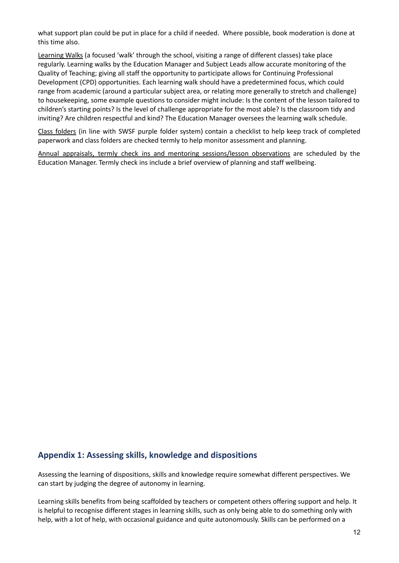what support plan could be put in place for a child if needed. Where possible, book moderation is done at this time also.

Learning Walks (a focused 'walk' through the school, visiting a range of different classes) take place regularly. Learning walks by the Education Manager and Subject Leads allow accurate monitoring of the Quality of Teaching; giving all staff the opportunity to participate allows for Continuing Professional Development (CPD) opportunities. Each learning walk should have a predetermined focus, which could range from academic (around a particular subject area, or relating more generally to stretch and challenge) to housekeeping, some example questions to consider might include: Is the content of the lesson tailored to children's starting points? Is the level of challenge appropriate for the most able? Is the classroom tidy and inviting? Are children respectful and kind? The Education Manager oversees the learning walk schedule.

Class folders (in line with SWSF purple folder system) contain a checklist to help keep track of completed paperwork and class folders are checked termly to help monitor assessment and planning.

Annual appraisals, termly check ins and mentoring sessions/lesson observations are scheduled by the Education Manager. Termly check ins include a brief overview of planning and staff wellbeing.

### **Appendix 1: Assessing skills, knowledge and dispositions**

Assessing the learning of dispositions, skills and knowledge require somewhat different perspectives. We can start by judging the degree of autonomy in learning.

Learning skills benefits from being scaffolded by teachers or competent others offering support and help. It is helpful to recognise different stages in learning skills, such as only being able to do something only with help, with a lot of help, with occasional guidance and quite autonomously. Skills can be performed on a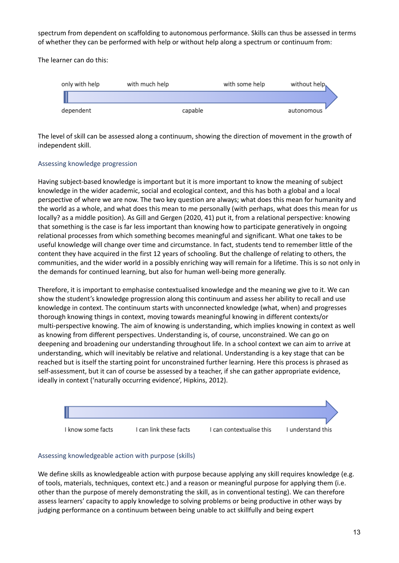spectrum from dependent on scaffolding to autonomous performance. Skills can thus be assessed in terms of whether they can be performed with help or without help along a spectrum or continuum from:

The learner can do this:



The level of skill can be assessed along a continuum, showing the direction of movement in the growth of independent skill.

#### Assessing knowledge progression

Having subject-based knowledge is important but it is more important to know the meaning of subject knowledge in the wider academic, social and ecological context, and this has both a global and a local perspective of where we are now. The two key question are always; what does this mean for humanity and the world as a whole, and what does this mean to me personally (with perhaps, what does this mean for us locally? as a middle position). As Gill and Gergen (2020, 41) put it, from a relational perspective: knowing that something is the case is far less important than knowing how to participate generatively in ongoing relational processes from which something becomes meaningful and significant. What one takes to be useful knowledge will change over time and circumstance. In fact, students tend to remember little of the content they have acquired in the first 12 years of schooling. But the challenge of relating to others, the communities, and the wider world in a possibly enriching way will remain for a lifetime. This is so not only in the demands for continued learning, but also for human well-being more generally.

Therefore, it is important to emphasise contextualised knowledge and the meaning we give to it. We can show the student's knowledge progression along this continuum and assess her ability to recall and use knowledge in context. The continuum starts with unconnected knowledge (what, when) and progresses thorough knowing things in context, moving towards meaningful knowing in different contexts/or multi-perspective knowing. The aim of knowing is understanding, which implies knowing in context as well as knowing from different perspectives. Understanding is, of course, unconstrained. We can go on deepening and broadening our understanding throughout life. In a school context we can aim to arrive at understanding, which will inevitably be relative and relational. Understanding is a key stage that can be reached but is itself the starting point for unconstrained further learning. Here this process is phrased as self-assessment, but it can of course be assessed by a teacher, if she can gather appropriate evidence, ideally in context ('naturally occurring evidence', Hipkins, 2012).



#### Assessing knowledgeable action with purpose (skills)

We define skills as knowledgeable action with purpose because applying any skill requires knowledge (e.g. of tools, materials, techniques, context etc.) and a reason or meaningful purpose for applying them (i.e. other than the purpose of merely demonstrating the skill, as in conventional testing). We can therefore assess learners' capacity to apply knowledge to solving problems or being productive in other ways by judging performance on a continuum between being unable to act skillfully and being expert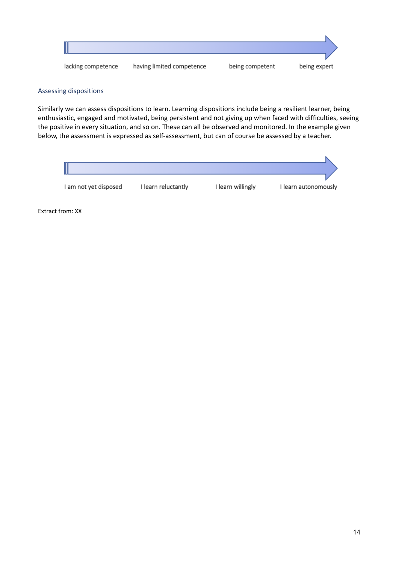

#### Assessing dispositions

Similarly we can assess dispositions to learn. Learning dispositions include being a resilient learner, being enthusiastic, engaged and motivated, being persistent and not giving up when faced with difficulties, seeing the positive in every situation, and so on. These can all be observed and monitored. In the example given below, the assessment is expressed as self-assessment, but can of course be assessed by a teacher.

| I am not yet disposed | I learn reluctantly | I learn willingly | I learn autonomously |
|-----------------------|---------------------|-------------------|----------------------|

Extract from: XX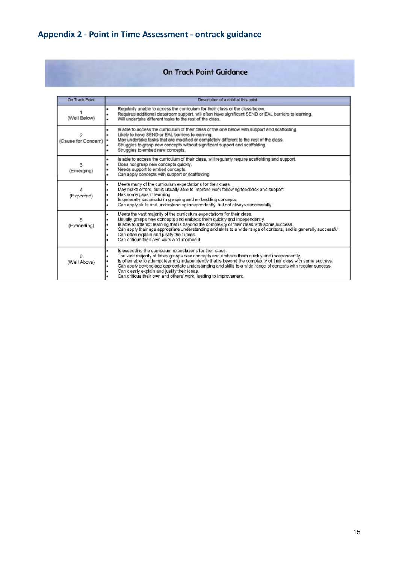# **Appendix 2 - Point in Time Assessment - ontrack guidance**

## On Track Point Guidance

| On Track Point      | Description of a child at this point                                                                                                                                                                                                                                                                                                                                                                                                                                                                              |  |  |
|---------------------|-------------------------------------------------------------------------------------------------------------------------------------------------------------------------------------------------------------------------------------------------------------------------------------------------------------------------------------------------------------------------------------------------------------------------------------------------------------------------------------------------------------------|--|--|
| (Well Below)        | Regularly unable to access the curriculum for their class or the class below.<br>٠<br>Requires additional classroom support, will often have significant SEND or EAL barriers to learning.<br>Will undertake different tasks to the rest of the class.                                                                                                                                                                                                                                                            |  |  |
| (Cause for Concern) | Is able to access the curriculum of their class or the one below with support and scaffolding.<br>٠<br>Likely to have SEND or EAL barriers to learning.<br>May undertake tasks that are modified or completely different to the rest of the class.<br>Struggles to grasp new concepts without significant support and scaffolding.<br>Struggles to embed new concepts.                                                                                                                                            |  |  |
| 3<br>(Emerging)     | Is able to access the curriculum of their class, will regularly require scaffolding and support.<br>٠<br>Does not grasp new concepts quickly.<br>Needs support to embed concepts.<br>Can apply concepts with support or scaffolding.                                                                                                                                                                                                                                                                              |  |  |
| (Expected)          | Meets many of the curriculum expectations for their class.<br>٠<br>May make errors, but is usually able to improve work following feedback and support.<br>Has some gaps in learning.<br>Is generally successful in grasping and embedding concepts.<br>Can apply skills and understanding independently, but not always successfully.                                                                                                                                                                            |  |  |
| 5<br>(Exceeding)    | Meets the vast majority of the curriculum expectations for their class.<br>٠<br>Usually grasps new concepts and embeds them quickly and independently.<br>Is able to attempt learning that is beyond the complexity of their class with some success.<br>Can apply their age appropriate understanding and skills to a wide range of contexts, and is generally successful.<br>Can often explain and justify their ideas.<br>Can critique their own work and improve it.                                          |  |  |
| 6<br>(Well Above)   | Is exceeding the curriculum expectations for their class.<br>The vast majority of times grasps new concepts and embeds them quickly and independently.<br>is often able to attempt learning independently that is beyond the complexity of their class with some success.<br>Can apply beyond age appropriate understanding and skills to a wide range of contexts with regular success.<br>٠<br>Can clearly explain and justify their ideas.<br>Can critique their own and others' work, leading to improvement. |  |  |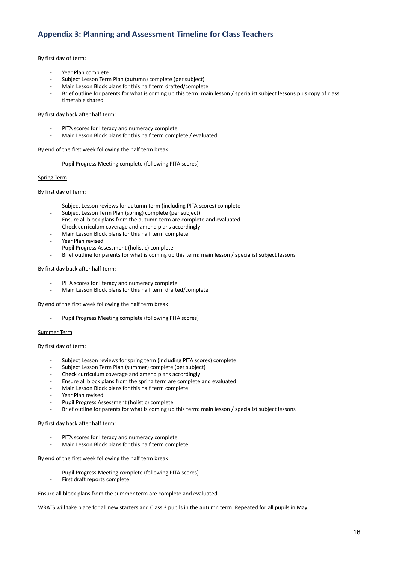## **Appendix 3: Planning and Assessment Timeline for Class Teachers**

By first day of term:

- Year Plan complete
- Subject Lesson Term Plan (autumn) complete (per subject)
- Main Lesson Block plans for this half term drafted/complete
- Brief outline for parents for what is coming up this term: main lesson / specialist subject lessons plus copy of class timetable shared

By first day back after half term:

- PITA scores for literacy and numeracy complete
- Main Lesson Block plans for this half term complete / evaluated

By end of the first week following the half term break:

Pupil Progress Meeting complete (following PITA scores)

#### Spring Term

By first day of term:

- Subject Lesson reviews for autumn term (including PITA scores) complete
- Subject Lesson Term Plan (spring) complete (per subject)
- Ensure all block plans from the autumn term are complete and evaluated
- Check curriculum coverage and amend plans accordingly
- Main Lesson Block plans for this half term complete
- Year Plan revised
- Pupil Progress Assessment (holistic) complete
- Brief outline for parents for what is coming up this term: main lesson / specialist subject lessons

By first day back after half term:

- PITA scores for literacy and numeracy complete
- Main Lesson Block plans for this half term drafted/complete

By end of the first week following the half term break:

Pupil Progress Meeting complete (following PITA scores)

#### Summer Term

By first day of term:

- Subject Lesson reviews for spring term (including PITA scores) complete
- Subject Lesson Term Plan (summer) complete (per subject)
- Check curriculum coverage and amend plans accordingly
- Ensure all block plans from the spring term are complete and evaluated
- Main Lesson Block plans for this half term complete
- Year Plan revised
- Pupil Progress Assessment (holistic) complete
- Brief outline for parents for what is coming up this term: main lesson / specialist subject lessons

By first day back after half term:

- PITA scores for literacy and numeracy complete
- Main Lesson Block plans for this half term complete

By end of the first week following the half term break:

- Pupil Progress Meeting complete (following PITA scores)
- First draft reports complete

Ensure all block plans from the summer term are complete and evaluated

WRATS will take place for all new starters and Class 3 pupils in the autumn term. Repeated for all pupils in May.